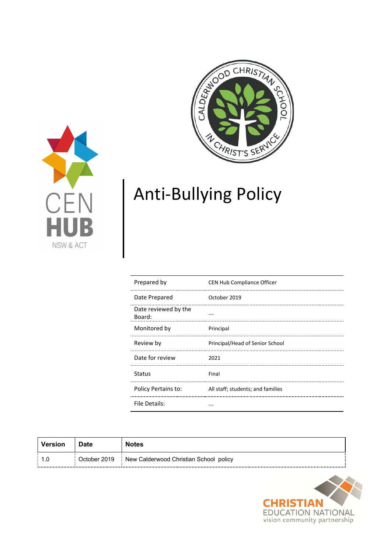



# Anti-Bullying Policy

| Prepared by                    | <b>CEN Hub Compliance Officer</b> |
|--------------------------------|-----------------------------------|
| Date Prepared                  | October 2019                      |
| Date reviewed by the<br>Board: |                                   |
| Monitored by                   | Principal                         |
| Review by                      | Principal/Head of Senior School   |
| Date for review                | 2021                              |
| <b>Status</b>                  | Final                             |
| Policy Pertains to:            | All staff; students; and families |
| File Details:                  | $\sim$ $\sim$ $\sim$              |

| Version    | Date         | <b>Notes</b>                               |
|------------|--------------|--------------------------------------------|
| ---------- | October 2019 | New Calderwood Christian School policy<br> |

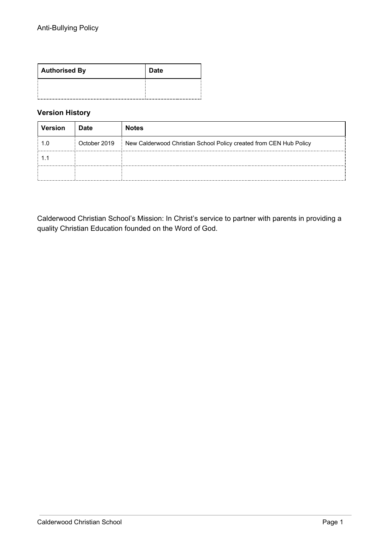| <b>Authorised By</b> | <b>Date</b> |
|----------------------|-------------|
|                      |             |

## **Version History**

| <b>Version</b>         | <b>Date</b>  | <b>Notes</b>                                                       |
|------------------------|--------------|--------------------------------------------------------------------|
|                        | October 2019 | New Calderwood Christian School Policy created from CEN Hub Policy |
|                        |              |                                                                    |
| ---------------------- |              |                                                                    |

Calderwood Christian School's Mission: In Christ's service to partner with parents in providing a quality Christian Education founded on the Word of God.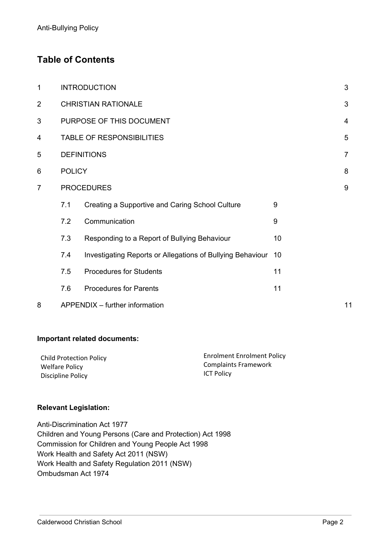# **Table of Contents**

| 1              |                                  | <b>INTRODUCTION</b>                                           |                  | 3              |
|----------------|----------------------------------|---------------------------------------------------------------|------------------|----------------|
| $\overline{2}$ |                                  | <b>CHRISTIAN RATIONALE</b>                                    |                  | 3              |
| 3              | PURPOSE OF THIS DOCUMENT         |                                                               |                  | 4              |
| 4              | <b>TABLE OF RESPONSIBILITIES</b> |                                                               |                  | 5              |
| 5              | <b>DEFINITIONS</b>               |                                                               |                  | $\overline{7}$ |
| 6              | <b>POLICY</b>                    |                                                               |                  | 8              |
| $\overline{7}$ |                                  | <b>PROCEDURES</b>                                             |                  | 9              |
|                | 7.1                              | Creating a Supportive and Caring School Culture               | 9                |                |
|                | 7.2                              | Communication                                                 | $\boldsymbol{9}$ |                |
|                | 7.3                              | Responding to a Report of Bullying Behaviour                  | 10               |                |
|                | 7.4                              | Investigating Reports or Allegations of Bullying Behaviour 10 |                  |                |
|                | 7.5                              | <b>Procedures for Students</b>                                | 11               |                |
|                | 7.6                              | <b>Procedures for Parents</b>                                 | 11               |                |
| 8              |                                  | APPENDIX - further information                                |                  | 11             |

## **Important related documents:**

| <b>Child Protection Policy</b> | <b>Enrolment Enrolment Policy</b> |
|--------------------------------|-----------------------------------|
| Welfare Policy                 | <b>Complaints Framework</b>       |
| Discipline Policy              | <b>ICT Policy</b>                 |

#### **Relevant Legislation:**

Anti-Discrimination Act 1977 Children and Young Persons (Care and Protection) Act 1998 Commission for Children and Young People Act 1998 Work Health and Safety Act 2011 (NSW) Work Health and Safety Regulation 2011 (NSW) Ombudsman Act 1974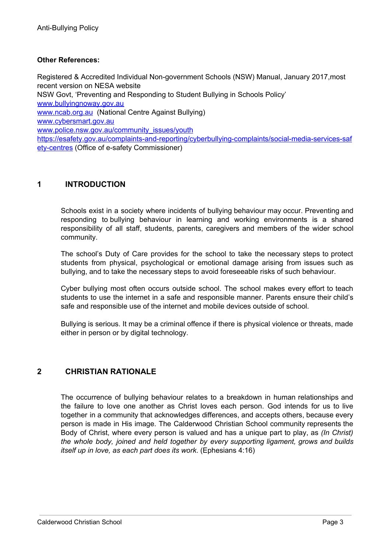## **Other References:**

Registered & Accredited Individual Non-government Schools (NSW) Manual, January 2017,most recent version on NESA website NSW Govt, 'Preventing and Responding to Student Bullying in Schools Policy' [www.bullyingnoway.gov.au](http://www.bullyingnoway.gov.au/) [www.ncab.org.au](http://www.ncab.org.au/) (National Centre Against Bullying) [www.cybersmart.gov.au](http://www.cybersmart.gov.au/) [www.police.nsw.gov.au/community\\_issues/youth](http://www.police.nsw.gov.au/community_issues/youth) [https://esafety.gov.au/complaints-and-reporting/cyberbullying-complaints/social-media-services-saf](https://esafety.gov.au/complaints-and-reporting/cyberbullying-complaints/social-media-services-safety-centres) [ety-centres](https://esafety.gov.au/complaints-and-reporting/cyberbullying-complaints/social-media-services-safety-centres) (Office of e-safety Commissioner)

## **1 INTRODUCTION**

Schools exist in a society where incidents of bullying behaviour may occur. Preventing and responding to bullying behaviour in learning and working environments is a shared responsibility of all staff, students, parents, caregivers and members of the wider school community.

The school's Duty of Care provides for the school to take the necessary steps to protect students from physical, psychological or emotional damage arising from issues such as bullying, and to take the necessary steps to avoid foreseeable risks of such behaviour.

Cyber bullying most often occurs outside school. The school makes every effort to teach students to use the internet in a safe and responsible manner. Parents ensure their child's safe and responsible use of the internet and mobile devices outside of school.

Bullying is serious. It may be a criminal offence if there is physical violence or threats, made either in person or by digital technology.

## **2 CHRISTIAN RATIONALE**

The occurrence of bullying behaviour relates to a breakdown in human relationships and the failure to love one another as Christ loves each person. God intends for us to live together in a community that acknowledges differences, and accepts others, because every person is made in His image. The Calderwood Christian School community represents the Body of Christ, where every person is valued and has a unique part to play, as *(In Christ) the whole body, joined and held together by every supporting ligament, grows and builds itself up in love, as each part does its work*. (Ephesians 4:16)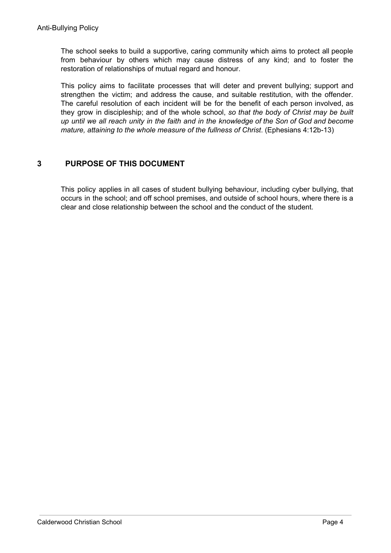The school seeks to build a supportive, caring community which aims to protect all people from behaviour by others which may cause distress of any kind; and to foster the restoration of relationships of mutual regard and honour.

This policy aims to facilitate processes that will deter and prevent bullying; support and strengthen the victim; and address the cause, and suitable restitution, with the offender. The careful resolution of each incident will be for the benefit of each person involved, as they grow in discipleship; and of the whole school, *so that the body of Christ may be built* up until we all reach unity in the faith and in the knowledge of the Son of God and become *mature, attaining to the whole measure of the fullness of Christ*. (Ephesians 4:12b-13)

## **3 PURPOSE OF THIS DOCUMENT**

This policy applies in all cases of student bullying behaviour, including cyber bullying, that occurs in the school; and off school premises, and outside of school hours, where there is a clear and close relationship between the school and the conduct of the student.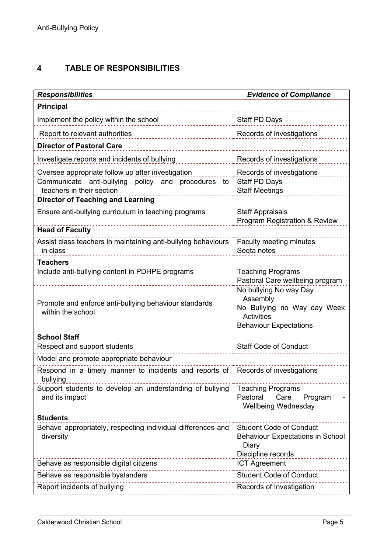# **4 TABLE OF RESPONSIBILITIES**

| <b>Responsibilities</b>                                                                      | <b>Evidence of Compliance</b>                                      |
|----------------------------------------------------------------------------------------------|--------------------------------------------------------------------|
| <b>Principal</b>                                                                             |                                                                    |
| Implement the policy within the school                                                       | Staff PD Days                                                      |
| Report to relevant authorities                                                               | Records of investigations                                          |
| <b>Director of Pastoral Care</b>                                                             |                                                                    |
| Investigate reports and incidents of bullying                                                | Records of investigations                                          |
| Oversee appropriate follow up after investigation                                            | Records of investigations                                          |
| Communicate anti-bullying policy and procedures to                                           | Staff PD Days                                                      |
| teachers in their section<br><b>Director of Teaching and Learning</b>                        | <b>Staff Meetings</b>                                              |
|                                                                                              |                                                                    |
| Ensure anti-bullying curriculum in teaching programs                                         | <b>Staff Appraisals</b><br>Program Registration & Review           |
| <b>Head of Faculty</b>                                                                       |                                                                    |
| Assist class teachers in maintaining anti-bullying behaviours                                | Faculty meeting minutes                                            |
| in class                                                                                     | Segta notes                                                        |
| <b>Teachers</b>                                                                              |                                                                    |
| Include anti-bullying content in PDHPE programs                                              | <b>Teaching Programs</b><br>Pastoral Care wellbeing program        |
|                                                                                              | No bullying No way Day                                             |
|                                                                                              | Assembly                                                           |
| Promote and enforce anti-bullying behaviour standards<br>within the school                   | No Bullying no Way day Week                                        |
|                                                                                              | Activities                                                         |
|                                                                                              | <b>Behaviour Expectations</b>                                      |
| <b>School Staff</b><br>Respect and support students                                          | <b>Staff Code of Conduct</b>                                       |
|                                                                                              |                                                                    |
| Model and promote appropriate behaviour                                                      |                                                                    |
| Respond in a timely manner to incidents and reports of Records of investigations<br>bullying |                                                                    |
| Support students to develop an understanding of bullying                                     | <b>Teaching Programs</b>                                           |
| and its impact                                                                               | Pastoral<br>Care<br>Program                                        |
|                                                                                              | <b>Wellbeing Wednesday</b>                                         |
| <b>Students</b>                                                                              |                                                                    |
| Behave appropriately, respecting individual differences and<br>diversity                     | <b>Student Code of Conduct</b><br>Behaviour Expectations in School |
|                                                                                              | Diary                                                              |
|                                                                                              | Discipline records                                                 |
| Behave as responsible digital citizens<br>----------------------                             | <b>ICT Agreement</b>                                               |
| Behave as responsible bystanders<br>------------------------                                 | <b>Student Code of Conduct</b>                                     |
| Report incidents of bullying                                                                 | Records of Investigation                                           |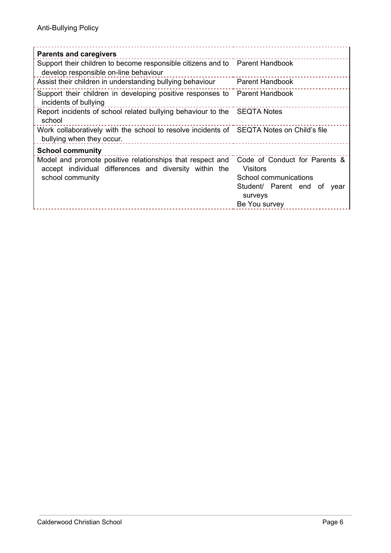| <b>Parents and caregivers</b>                                                                                                           |                                                                                                                                         |
|-----------------------------------------------------------------------------------------------------------------------------------------|-----------------------------------------------------------------------------------------------------------------------------------------|
| Support their children to become responsible citizens and to Parent Handbook<br>develop responsible on-line behaviour                   |                                                                                                                                         |
| Assist their children in understanding bullying behaviour                                                                               | <b>Parent Handbook</b>                                                                                                                  |
| Support their children in developing positive responses to Parent Handbook<br>incidents of bullying                                     |                                                                                                                                         |
| Report incidents of school related bullying behaviour to the SEQTA Notes<br>school                                                      |                                                                                                                                         |
| Work collaboratively with the school to resolve incidents of SEQTA Notes on Child's file<br>bullying when they occur.                   |                                                                                                                                         |
| <b>School community</b>                                                                                                                 |                                                                                                                                         |
| Model and promote positive relationships that respect and<br>accept individual differences and diversity within the<br>school community | Code of Conduct for Parents &<br><b>Visitors</b><br>School communications<br>Student/ Parent end of<br>year<br>surveys<br>Be You survey |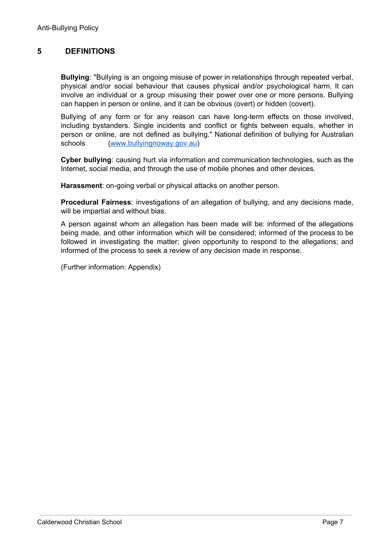## **5 DEFINITIONS**

**Bullying**: "Bullying is an ongoing misuse of power in relationships through repeated verbal, physical and/or social behaviour that causes physical and/or psychological harm. It can involve an individual or a group misusing their power over one or more persons. Bullying can happen in person or online, and it can be obvious (overt) or hidden (covert).

Bullying of any form or for any reason can have long-term effects on those involved, including bystanders. Single incidents and conflict or fights between equals, whether in person or online, are not defined as bullying." National definition of bullying for Australian schools [\(www.bullyingnoway.gov.au](http://www.bullyingnoway.gov.au/))

**Cyber bullying**: causing hurt via information and communication technologies, such as the Internet, social media, and through the use of mobile phones and other devices.

**Harassment**: on-going verbal or physical attacks on another person.

**Procedural Fairness**: investigations of an allegation of bullying, and any decisions made, will be impartial and without bias.

A person against whom an allegation has been made will be: informed of the allegations being made, and other information which will be considered; informed of the process to be followed in investigating the matter; given opportunity to respond to the allegations; and informed of the process to seek a review of any decision made in response.

(Further information: Appendix)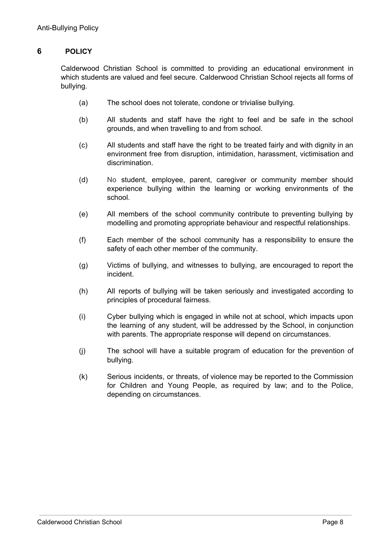## **6 POLICY**

Calderwood Christian School is committed to providing an educational environment in which students are valued and feel secure. Calderwood Christian School rejects all forms of bullying.

- (a) The school does not tolerate, condone or trivialise bullying.
- (b) All students and staff have the right to feel and be safe in the school grounds, and when travelling to and from school.
- (c) All students and staff have the right to be treated fairly and with dignity in an environment free from disruption, intimidation, harassment, victimisation and discrimination.
- (d) No student, employee, parent, caregiver or community member should experience bullying within the learning or working environments of the school.
- (e) All members of the school community contribute to preventing bullying by modelling and promoting appropriate behaviour and respectful relationships.
- (f) Each member of the school community has a responsibility to ensure the safety of each other member of the community.
- (g) Victims of bullying, and witnesses to bullying, are encouraged to report the incident.
- (h) All reports of bullying will be taken seriously and investigated according to principles of procedural fairness.
- (i) Cyber bullying which is engaged in while not at school, which impacts upon the learning of any student, will be addressed by the School, in conjunction with parents. The appropriate response will depend on circumstances.
- (j) The school will have a suitable program of education for the prevention of bullying.
- (k) Serious incidents, or threats, of violence may be reported to the Commission for Children and Young People, as required by law; and to the Police, depending on circumstances.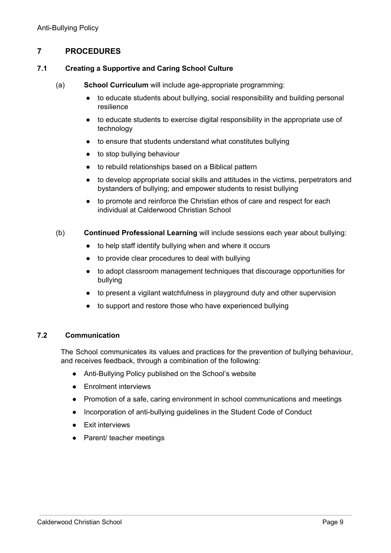## **7 PROCEDURES**

#### **7.1 Creating a Supportive and Caring School Culture**

- (a) **School Curriculum** will include age-appropriate programming:
	- to educate students about bullying, social responsibility and building personal resilience
	- to educate students to exercise digital responsibility in the appropriate use of technology
	- to ensure that students understand what constitutes bullying
	- to stop bullying behaviour
	- to rebuild relationships based on a Biblical pattern
	- to develop appropriate social skills and attitudes in the victims, perpetrators and bystanders of bullying; and empower students to resist bullying
	- to promote and reinforce the Christian ethos of care and respect for each individual at Calderwood Christian School
- (b) **Continued Professional Learning** will include sessions each year about bullying:
	- to help staff identify bullying when and where it occurs
	- to provide clear procedures to deal with bullying
	- to adopt classroom management techniques that discourage opportunities for bullying
	- to present a vigilant watchfulness in playground duty and other supervision
	- to support and restore those who have experienced bullying

## **7.2 Communication**

The School communicates its values and practices for the prevention of bullying behaviour, and receives feedback, through a combination of the following:

- Anti-Bullying Policy published on the School's website
- Enrolment interviews
- Promotion of a safe, caring environment in school communications and meetings
- Incorporation of anti-bullying guidelines in the Student Code of Conduct
- Exit interviews
- Parent/ teacher meetings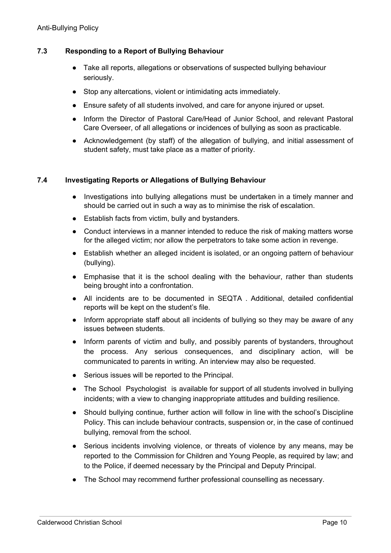## **7.3 Responding to a Report of Bullying Behaviour**

- Take all reports, allegations or observations of suspected bullying behaviour seriously.
- Stop any altercations, violent or intimidating acts immediately.
- Ensure safety of all students involved, and care for anyone injured or upset.
- Inform the Director of Pastoral Care/Head of Junior School, and relevant Pastoral Care Overseer, of all allegations or incidences of bullying as soon as practicable.
- Acknowledgement (by staff) of the allegation of bullying, and initial assessment of student safety, must take place as a matter of priority.

#### **7.4 Investigating Reports or Allegations of Bullying Behaviour**

- Investigations into bullying allegations must be undertaken in a timely manner and should be carried out in such a way as to minimise the risk of escalation.
- Establish facts from victim, bully and bystanders.
- Conduct interviews in a manner intended to reduce the risk of making matters worse for the alleged victim; nor allow the perpetrators to take some action in revenge.
- Establish whether an alleged incident is isolated, or an ongoing pattern of behaviour (bullying).
- Emphasise that it is the school dealing with the behaviour, rather than students being brought into a confrontation.
- All incidents are to be documented in SEQTA . Additional, detailed confidential reports will be kept on the student's file.
- Inform appropriate staff about all incidents of bullying so they may be aware of any issues between students.
- Inform parents of victim and bully, and possibly parents of bystanders, throughout the process. Any serious consequences, and disciplinary action, will be communicated to parents in writing. An interview may also be requested.
- Serious issues will be reported to the Principal.
- The School Psychologist is available for support of all students involved in bullying incidents; with a view to changing inappropriate attitudes and building resilience.
- Should bullying continue, further action will follow in line with the school's Discipline Policy. This can include behaviour contracts, suspension or, in the case of continued bullying, removal from the school.
- Serious incidents involving violence, or threats of violence by any means, may be reported to the Commission for Children and Young People, as required by law; and to the Police, if deemed necessary by the Principal and Deputy Principal.
- The School may recommend further professional counselling as necessary.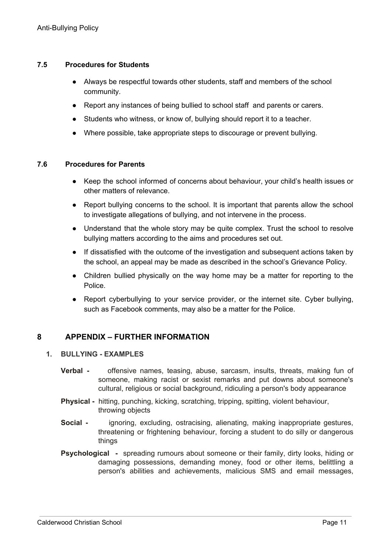## **7.5 Procedures for Students**

- Always be respectful towards other students, staff and members of the school community.
- Report any instances of being bullied to school staff and parents or carers.
- Students who witness, or know of, bullying should report it to a teacher.
- Where possible, take appropriate steps to discourage or prevent bullying.

## **7.6 Procedures for Parents**

- Keep the school informed of concerns about behaviour, your child's health issues or other matters of relevance.
- Report bullying concerns to the school. It is important that parents allow the school to investigate allegations of bullying, and not intervene in the process.
- Understand that the whole story may be quite complex. Trust the school to resolve bullying matters according to the aims and procedures set out.
- If dissatisfied with the outcome of the investigation and subsequent actions taken by the school, an appeal may be made as described in the school's Grievance Policy.
- Children bullied physically on the way home may be a matter for reporting to the Police.
- Report cyberbullying to your service provider, or the internet site. Cyber bullying, such as Facebook comments, may also be a matter for the Police.

## **8 APPENDIX – FURTHER INFORMATION**

## **1. BULLYING - EXAMPLES**

- **Verbal -** offensive names, teasing, abuse, sarcasm, insults, threats, making fun of someone, making racist or sexist remarks and put downs about someone's cultural, religious or social background, ridiculing a person's body appearance
- **Physical -** hitting, punching, kicking, scratching, tripping, spitting, violent behaviour, throwing objects
- **Social -** ignoring, excluding, ostracising, alienating, making inappropriate gestures, threatening or frightening behaviour, forcing a student to do silly or dangerous things
- **Psychological -** spreading rumours about someone or their family, dirty looks, hiding or damaging possessions, demanding money, food or other items, belittling a person's abilities and achievements, malicious SMS and email messages,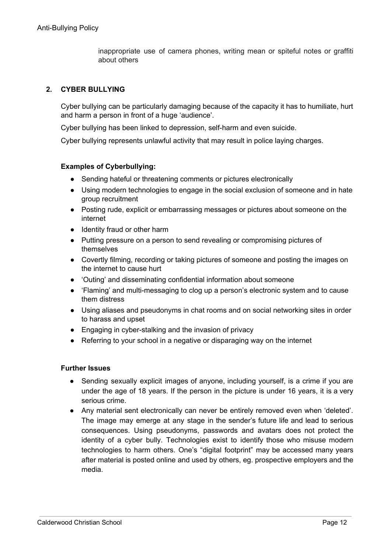inappropriate use of camera phones, writing mean or spiteful notes or graffiti about others

## **2. CYBER BULLYING**

Cyber bullying can be particularly damaging because of the capacity it has to humiliate, hurt and harm a person in front of a huge 'audience'.

Cyber bullying has been linked to depression, self-harm and even suicide.

Cyber bullying represents unlawful activity that may result in police laying charges.

#### **Examples of Cyberbullying:**

- Sending hateful or threatening comments or pictures electronically
- Using modern technologies to engage in the social exclusion of someone and in hate group recruitment
- Posting rude, explicit or embarrassing messages or pictures about someone on the internet
- Identity fraud or other harm
- Putting pressure on a person to send revealing or compromising pictures of themselves
- Covertly filming, recording or taking pictures of someone and posting the images on the internet to cause hurt
- 'Outing' and disseminating confidential information about someone
- 'Flaming' and multi-messaging to clog up a person's electronic system and to cause them distress
- Using aliases and pseudonyms in chat rooms and on social networking sites in order to harass and upset
- Engaging in cyber-stalking and the invasion of privacy
- Referring to your school in a negative or disparaging way on the internet

#### **Further Issues**

- Sending sexually explicit images of anyone, including yourself, is a crime if you are under the age of 18 years. If the person in the picture is under 16 years, it is a very serious crime.
- Any material sent electronically can never be entirely removed even when 'deleted'. The image may emerge at any stage in the sender's future life and lead to serious consequences. Using pseudonyms, passwords and avatars does not protect the identity of a cyber bully. Technologies exist to identify those who misuse modern technologies to harm others. One's "digital footprint" may be accessed many years after material is posted online and used by others, eg. prospective employers and the media.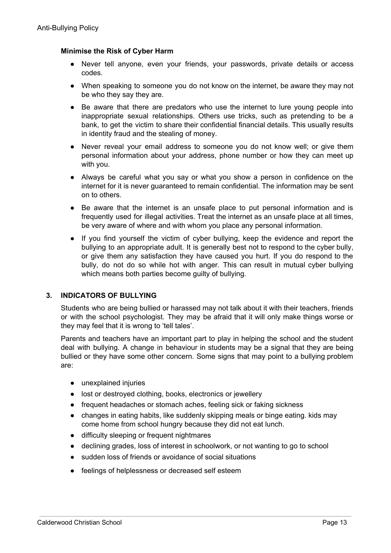## **Minimise the Risk of Cyber Harm**

- Never tell anyone, even your friends, your passwords, private details or access codes.
- When speaking to someone you do not know on the internet, be aware they may not be who they say they are.
- Be aware that there are predators who use the internet to lure young people into inappropriate sexual relationships. Others use tricks, such as pretending to be a bank, to get the victim to share their confidential financial details. This usually results in identity fraud and the stealing of money.
- Never reveal your email address to someone you do not know well; or give them personal information about your address, phone number or how they can meet up with you.
- Always be careful what you say or what you show a person in confidence on the internet for it is never guaranteed to remain confidential. The information may be sent on to others.
- Be aware that the internet is an unsafe place to put personal information and is frequently used for illegal activities. Treat the internet as an unsafe place at all times, be very aware of where and with whom you place any personal information.
- If you find yourself the victim of cyber bullying, keep the evidence and report the bullying to an appropriate adult. It is generally best not to respond to the cyber bully, or give them any satisfaction they have caused you hurt. If you do respond to the bully, do not do so while hot with anger. This can result in mutual cyber bullying which means both parties become quilty of bullying.

#### **3. INDICATORS OF BULLYING**

Students who are being bullied or harassed may not talk about it with their teachers, friends or with the school psychologist. They may be afraid that it will only make things worse or they may feel that it is wrong to 'tell tales'.

Parents and teachers have an important part to play in helping the school and the student deal with bullying. A change in behaviour in students may be a signal that they are being bullied or they have some other concern. Some signs that may point to a bullying problem are:

- unexplained injuries
- lost or destroyed clothing, books, electronics or jewellery
- frequent headaches or stomach aches, feeling sick or faking sickness
- changes in eating habits, like suddenly skipping meals or binge eating. kids may come home from school hungry because they did not eat lunch.
- difficulty sleeping or frequent nightmares
- declining grades, loss of interest in schoolwork, or not wanting to go to school
- sudden loss of friends or avoidance of social situations
- feelings of helplessness or decreased self esteem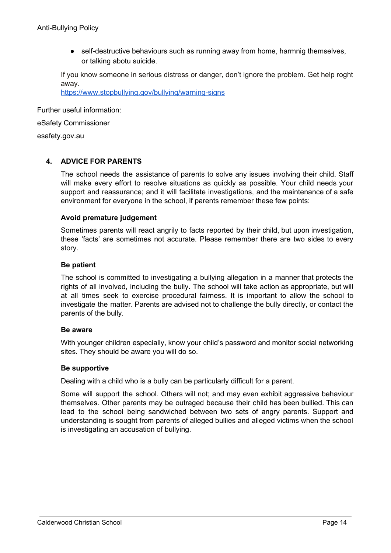• self-destructive behaviours such as running away from home, harmnig themselves, or talking abotu suicide.

If you know someone in serious distress or danger, don't ignore the problem. Get help roght away.

[https://www.stopbullying.gov/bullying/warning-signs](https://www.sopbullying.gov/bullying/warning-signs)

Further useful information:

eSafety Commissioner

esafety.gov.au

## **4. ADVICE FOR PARENTS**

The school needs the assistance of parents to solve any issues involving their child. Staff will make every effort to resolve situations as quickly as possible. Your child needs your support and reassurance; and it will facilitate investigations, and the maintenance of a safe environment for everyone in the school, if parents remember these few points:

#### **Avoid premature judgement**

Sometimes parents will react angrily to facts reported by their child, but upon investigation, these 'facts' are sometimes not accurate. Please remember there are two sides to every story.

#### **Be patient**

The school is committed to investigating a bullying allegation in a manner that protects the rights of all involved, including the bully. The school will take action as appropriate, but will at all times seek to exercise procedural fairness. It is important to allow the school to investigate the matter. Parents are advised not to challenge the bully directly, or contact the parents of the bully.

#### **Be aware**

With younger children especially, know your child's password and monitor social networking sites. They should be aware you will do so.

#### **Be supportive**

Dealing with a child who is a bully can be particularly difficult for a parent.

Some will support the school. Others will not; and may even exhibit aggressive behaviour themselves. Other parents may be outraged because their child has been bullied. This can lead to the school being sandwiched between two sets of angry parents. Support and understanding is sought from parents of alleged bullies and alleged victims when the school is investigating an accusation of bullying.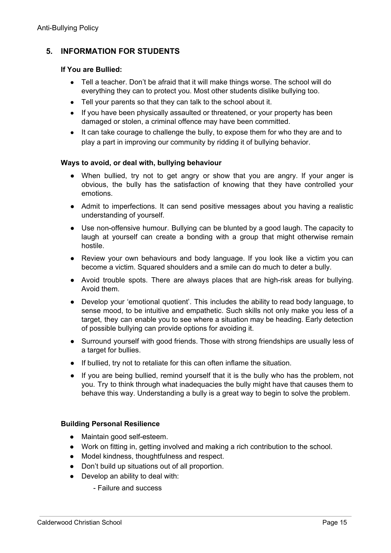## **5. INFORMATION FOR STUDENTS**

## **If You are Bullied:**

- Tell a teacher. Don't be afraid that it will make things worse. The school will do everything they can to protect you. Most other students dislike bullying too.
- Tell your parents so that they can talk to the school about it.
- If you have been physically assaulted or threatened, or your property has been damaged or stolen, a criminal offence may have been committed.
- It can take courage to challenge the bully, to expose them for who they are and to play a part in improving our community by ridding it of bullying behavior.

## **Ways to avoid, or deal with, bullying behaviour**

- When bullied, try not to get angry or show that you are angry. If your anger is obvious, the bully has the satisfaction of knowing that they have controlled your emotions.
- Admit to imperfections. It can send positive messages about you having a realistic understanding of yourself.
- Use non-offensive humour. Bullying can be blunted by a good laugh. The capacity to laugh at yourself can create a bonding with a group that might otherwise remain hostile.
- Review your own behaviours and body language. If you look like a victim you can become a victim. Squared shoulders and a smile can do much to deter a bully.
- Avoid trouble spots. There are always places that are high-risk areas for bullying. Avoid them.
- Develop your 'emotional quotient'. This includes the ability to read body language, to sense mood, to be intuitive and empathetic. Such skills not only make you less of a target, they can enable you to see where a situation may be heading. Early detection of possible bullying can provide options for avoiding it.
- Surround yourself with good friends. Those with strong friendships are usually less of a target for bullies.
- If bullied, try not to retaliate for this can often inflame the situation.
- If you are being bullied, remind yourself that it is the bully who has the problem, not you. Try to think through what inadequacies the bully might have that causes them to behave this way. Understanding a bully is a great way to begin to solve the problem.

#### **Building Personal Resilience**

- Maintain good self-esteem.
- Work on fitting in, getting involved and making a rich contribution to the school.
- Model kindness, thoughtfulness and respect.
- Don't build up situations out of all proportion.
- Develop an ability to deal with:
	- Failure and success